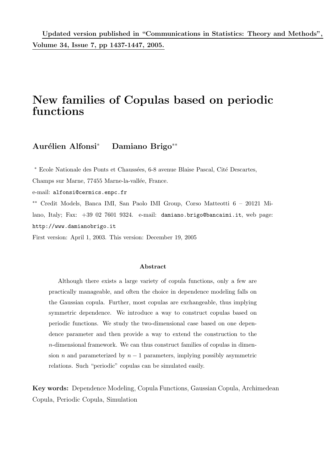## New families of Copulas based on periodic functions

Aurélien Alfonsi<sup>∗</sup> Damiano Brigo<sup>∗∗</sup>

<sup>∗</sup> Ecole Nationale des Ponts et Chauss´ees, 6-8 avenue Blaise Pascal, Cit´e Descartes,

Champs sur Marne, 77455 Marne-la-vallée, France.

e-mail: alfonsi@cermics.enpc.fr

∗∗ Credit Models, Banca IMI, San Paolo IMI Group, Corso Matteotti 6 – 20121 Milano, Italy; Fax: +39 02 7601 9324. e-mail: damiano.brigo@bancaimi.it, web page: http://www.damianobrigo.it

First version: April 1, 2003. This version: December 19, 2005

#### Abstract

Although there exists a large variety of copula functions, only a few are practically manageable, and often the choice in dependence modeling falls on the Gaussian copula. Further, most copulas are exchangeable, thus implying symmetric dependence. We introduce a way to construct copulas based on periodic functions. We study the two-dimensional case based on one dependence parameter and then provide a way to extend the construction to the n-dimensional framework. We can thus construct families of copulas in dimension *n* and parameterized by  $n - 1$  parameters, implying possibly asymmetric relations. Such "periodic" copulas can be simulated easily.

Key words: Dependence Modeling, Copula Functions, Gaussian Copula, Archimedean Copula, Periodic Copula, Simulation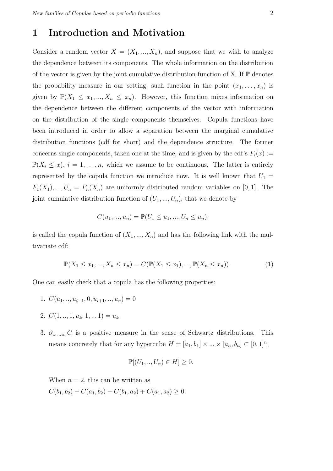### 1 Introduction and Motivation

Consider a random vector  $X = (X_1, ..., X_n)$ , and suppose that we wish to analyze the dependence between its components. The whole information on the distribution of the vector is given by the joint cumulative distribution function of  $X$ . If  $\mathbb P$  denotes the probability measure in our setting, such function in the point  $(x_1, \ldots, x_n)$  is given by  $\mathbb{P}(X_1 \leq x_1, ..., X_n \leq x_n)$ . However, this function mixes information on the dependence between the different components of the vector with information on the distribution of the single components themselves. Copula functions have been introduced in order to allow a separation between the marginal cumulative distribution functions (cdf for short) and the dependence structure. The former concerns single components, taken one at the time, and is given by the cdf's  $F_i(x) :=$  $\mathbb{P}(X_i \leq x), i = 1, \ldots, n$ , which we assume to be continuous. The latter is entirely represented by the copula function we introduce now. It is well known that  $U_1 =$  $F_1(X_1), ..., U_n = F_n(X_n)$  are uniformly distributed random variables on [0, 1]. The joint cumulative distribution function of  $(U_1, ..., U_n)$ , that we denote by

$$
C(u_1, ..., u_n) = \mathbb{P}(U_1 \le u_1, ..., U_n \le u_n),
$$

is called the copula function of  $(X_1, ..., X_n)$  and has the following link with the multivariate cdf:

$$
\mathbb{P}(X_1 \le x_1, ..., X_n \le x_n) = C(\mathbb{P}(X_1 \le x_1), ..., \mathbb{P}(X_n \le x_n)).
$$
\n(1)

One can easily check that a copula has the following properties:

- 1.  $C(u_1, \ldots, u_{i-1}, 0, u_{i+1}, \ldots, u_n) = 0$
- 2.  $C(1, ..., 1, u_k, 1, ..., 1) = u_k$
- 3.  $\partial_{u_1...u_n}C$  is a positive measure in the sense of Schwartz distributions. This means concretely that for any hypercube  $H = [a_1, b_1] \times ... \times [a_n, b_n] \subset [0, 1]^n$ ,

$$
\mathbb{P}[(U_1, ..., U_n) \in H] \ge 0.
$$

When  $n = 2$ , this can be written as

 $C(b_1, b_2) - C(a_1, b_2) - C(b_1, a_2) + C(a_1, a_2) \geq 0.$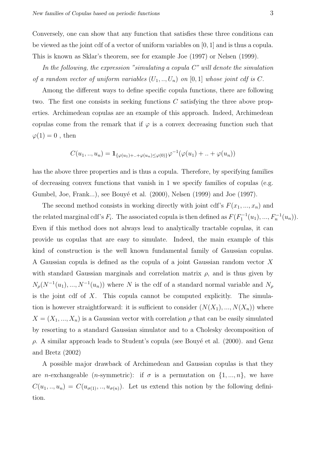Conversely, one can show that any function that satisfies these three conditions can be viewed as the joint cdf of a vector of uniform variables on [0, 1] and is thus a copula. This is known as Sklar's theorem, see for example Joe (1997) or Nelsen (1999).

In the following, the expression "simulating a copula C" will denote the simulation of a random vector of uniform variables  $(U_1, ..., U_n)$  on  $[0, 1]$  whose joint cdf is C.

Among the different ways to define specific copula functions, there are following two. The first one consists in seeking functions  $C$  satisfying the three above properties. Archimedean copulas are an example of this approach. Indeed, Archimedean copulas come from the remark that if  $\varphi$  is a convex decreasing function such that  $\varphi(1) = 0$ , then

$$
C(u_1,..,u_n) = \mathbf{1}_{\{\varphi(u_1)+..+\varphi(u_n)\leq \varphi(0)\}} \varphi^{-1}(\varphi(u_1) + .. + \varphi(u_n))
$$

has the above three properties and is thus a copula. Therefore, by specifying families of decreasing convex functions that vanish in 1 we specify families of copulas (e.g. Gumbel, Joe, Frank...), see Bouyé et al. (2000), Nelsen (1999) and Joe (1997).

The second method consists in working directly with joint cdf's  $F(x_1, ..., x_n)$  and the related marginal cdf's  $F_i$ . The associated copula is then defined as  $F(F_1^{-1}(u_1),...,F_n^{-1}(u_n))$ . Even if this method does not always lead to analytically tractable copulas, it can provide us copulas that are easy to simulate. Indeed, the main example of this kind of construction is the well known fundamental family of Gaussian copulas. A Gaussian copula is defined as the copula of a joint Gaussian random vector X with standard Gaussian marginals and correlation matrix  $\rho$ , and is thus given by  $N_\rho(N^{-1}(u_1),...,N^{-1}(u_n))$  where N is the cdf of a standard normal variable and  $N_\rho$ is the joint cdf of  $X$ . This copula cannot be computed explicitly. The simulation is however straightforward: it is sufficient to consider  $(N(X_1), ..., N(X_n))$  where  $X = (X_1, ..., X_n)$  is a Gaussian vector with correlation  $\rho$  that can be easily simulated by resorting to a standard Gaussian simulator and to a Cholesky decomposition of  $ρ$ . A similar approach leads to Student's copula (see Bouyé et al. (2000). and Genz and Bretz (2002)

A possible major drawback of Archimedean and Gaussian copulas is that they are *n*-exchangeable (*n*-symmetric): if  $\sigma$  is a permutation on  $\{1, ..., n\}$ , we have  $C(u_1, ..., u_n) = C(u_{\sigma(1)}, ..., u_{\sigma(n)})$ . Let us extend this notion by the following definition.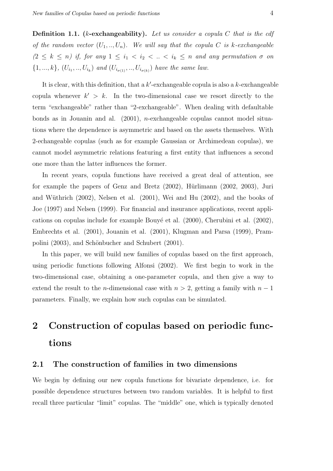**Definition 1.1.** ( $k$ -exchangeability). Let us consider a copula  $C$  that is the cdf of the random vector  $(U_1, ..., U_n)$ . We will say that the copula C is k-exchangeable  $(2 \leq k \leq n)$  if, for any  $1 \leq i_1 < i_2 < ... < i_k \leq n$  and any permutation  $\sigma$  on  $\{1, ..., k\}, (U_{i_1}, ..., U_{i_k})$  and  $(U_{i_{\sigma(1)}}, ..., U_{i_{\sigma(k)}})$  have the same law.

It is clear, with this definition, that a  $k'$ -exchangeable copula is also a  $k$ -exchangeable copula whenever  $k' > k$ . In the two-dimensional case we resort directly to the term "exchangeable" rather than "2-exchangeable". When dealing with defaultable bonds as in Jouanin and al.  $(2001)$ , *n*-exchangeable copulas cannot model situations where the dependence is asymmetric and based on the assets themselves. With 2-echangeable copulas (such as for example Gaussian or Archimedean copulas), we cannot model asymmetric relations featuring a first entity that influences a second one more than the latter influences the former.

In recent years, copula functions have received a great deal of attention, see for example the papers of Genz and Bretz  $(2002)$ , Hürlimann  $(2002, 2003)$ , Juri and Wüthrich  $(2002)$ , Nelsen et al.  $(2001)$ , Wei and Hu  $(2002)$ , and the books of Joe (1997) and Nelsen (1999). For financial and insurance applications, recent applications on copulas include for example Bouyé et al.  $(2000)$ , Cherubini et al.  $(2002)$ , Embrechts et al. (2001), Jouanin et al. (2001), Klugman and Parsa (1999), Prampolini (2003), and Schönbucher and Schubert (2001).

In this paper, we will build new families of copulas based on the first approach, using periodic functions following Alfonsi (2002). We first begin to work in the two-dimensional case, obtaining a one-parameter copula, and then give a way to extend the result to the *n*-dimensional case with  $n > 2$ , getting a family with  $n - 1$ parameters. Finally, we explain how such copulas can be simulated.

# 2 Construction of copulas based on periodic functions

#### 2.1 The construction of families in two dimensions

We begin by defining our new copula functions for bivariate dependence, i.e. for possible dependence structures between two random variables. It is helpful to first recall three particular "limit" copulas. The "middle" one, which is typically denoted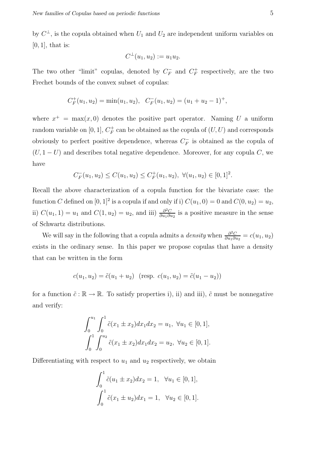by  $C^{\perp}$ , is the copula obtained when  $U_1$  and  $U_2$  are independent uniform variables on  $[0, 1]$ , that is:

$$
C^{\perp}(u_1, u_2) := u_1 u_2.
$$

The two other "limit" copulas, denoted by  $C_F^ \overline{F}$  and  $C_F^+$  $F_F^+$  respectively, are the two Frechet bounds of the convex subset of copulas:

$$
C_F^+(u_1, u_2) = \min(u_1, u_2), \quad C_F^-(u_1, u_2) = (u_1 + u_2 - 1)^+,
$$

where  $x^+$  = max $(x, 0)$  denotes the positive part operator. Naming U a uniform random variable on [0, 1],  $C_F^+$  $_{F}^{+}$  can be obtained as the copula of  $(U, U)$  and corresponds obviously to perfect positive dependence, whereas  $C_F^+$  $\bar{F}$  is obtained as the copula of  $(U, 1-U)$  and describes total negative dependence. Moreover, for any copula C, we have

$$
C_F^-(u_1, u_2) \le C(u_1, u_2) \le C_F^+(u_1, u_2), \ \forall (u_1, u_2) \in [0, 1]^2.
$$

Recall the above characterization of a copula function for the bivariate case: the function C defined on  $[0,1]^2$  is a copula if and only if i)  $C(u_1, 0) = 0$  and  $C(0, u_2) = u_2$ , ii)  $C(u_1, 1) = u_1$  and  $C(1, u_2) = u_2$ , and iii)  $\frac{\partial^2 C}{\partial u_1 \partial v_2}$  $\frac{\partial^2 C}{\partial u_1 \partial u_2}$  is a positive measure in the sense of Schwartz distributions.

We will say in the following that a copula admits a *density* when  $\frac{\partial^2 C}{\partial u \cdot \partial v}$  $\frac{\partial^2 C}{\partial u_1 \partial u_2} = c(u_1, u_2)$ exists in the ordinary sense. In this paper we propose copulas that have a density that can be written in the form

$$
c(u_1, u_2) = \tilde{c}(u_1 + u_2) \quad (\text{resp. } c(u_1, u_2) = \tilde{c}(u_1 - u_2))
$$

for a function  $\tilde{c} : \mathbb{R} \to \mathbb{R}$ . To satisfy properties i), ii) and iii),  $\tilde{c}$  must be nonnegative and verify:

$$
\int_0^{u_1} \int_0^1 \tilde{c}(x_1 \pm x_2) dx_1 dx_2 = u_1, \ \forall u_1 \in [0, 1],
$$

$$
\int_0^1 \int_0^{u_2} \tilde{c}(x_1 \pm x_2) dx_1 dx_2 = u_2, \ \forall u_2 \in [0, 1].
$$

Differentiating with respect to  $u_1$  and  $u_2$  respectively, we obtain

$$
\int_0^1 \tilde{c}(u_1 \pm x_2) dx_2 = 1, \quad \forall u_1 \in [0, 1],
$$

$$
\int_0^1 \tilde{c}(x_1 \pm u_2) dx_1 = 1, \quad \forall u_2 \in [0, 1].
$$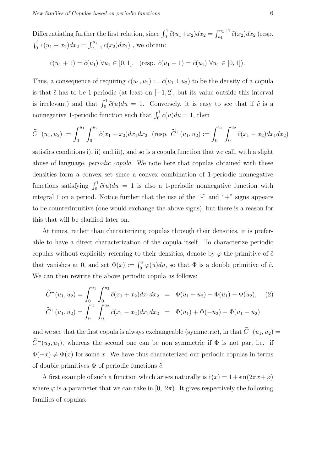Differentiating further the first relation, since  $\int_0^1 \tilde{c}(u_1+x_2)dx_2 = \int_{u_1}^{u_1+1} \tilde{c}(x_2)dx_2$  (resp.  $\int_0^1 \tilde{c}(u_1 - x_2) dx_2 = \int_{u_1-1}^{u_1} \tilde{c}(x_2) dx_2$ , we obtain:

$$
\tilde{c}(u_1 + 1) = \tilde{c}(u_1) \ \forall u_1 \in [0, 1], \ \text{(resp. } \tilde{c}(u_1 - 1) = \tilde{c}(u_1) \ \forall u_1 \in [0, 1]).
$$

Thus, a consequence of requiring  $c(u_1, u_2) := \tilde{c}(u_1 \pm u_2)$  to be the density of a copula is that  $\tilde{c}$  has to be 1-periodic (at least on  $[-1, 2]$ , but its value outside this interval is irrelevant) and that  $\int_0^1 \tilde{c}(u)du = 1$ . Conversely, it is easy to see that if  $\tilde{c}$  is a nonnegative 1-periodic function such that  $\int_0^1 \tilde{c}(u)du = 1$ , then

$$
\widetilde{C}^-(u_1, u_2) := \int_0^{u_1} \int_0^{u_2} \widetilde{c}(x_1 + x_2) dx_1 dx_2 \quad \text{(resp. } \widetilde{C}^+(u_1, u_2) := \int_0^{u_1} \int_0^{u_2} \widetilde{c}(x_1 - x_2) dx_1 dx_2\text{)}
$$

satisfies conditions i), ii) and iii), and so is a copula function that we call, with a slight abuse of language, *periodic copula*. We note here that copulas obtained with these densities form a convex set since a convex combination of 1-periodic nonnegative functions satisfying  $\int_0^1 \tilde{c}(u)du = 1$  is also a 1-periodic nonnegative function with integral 1 on a period. Notice further that the use of the "-" and "+" signs appears to be counterintuitive (one would exchange the above signs), but there is a reason for this that will be clarified later on.

At times, rather than characterizing copulas through their densities, it is preferable to have a direct characterization of the copula itself. To characterize periodic copulas without explicitly referring to their densities, denote by  $\varphi$  the primitive of  $\tilde{c}$ that vanishes at 0, and set  $\Phi(x) := \int_0^x \varphi(u) du$ , so that  $\Phi$  is a double primitive of  $\tilde{c}$ . We can then rewrite the above periodic copula as follows:

$$
\widetilde{C}^{-}(u_1, u_2) = \int_0^{u_1} \int_0^{u_2} \widetilde{c}(x_1 + x_2) dx_1 dx_2 = \Phi(u_1 + u_2) - \Phi(u_1) - \Phi(u_2), \quad (2)
$$
  

$$
\widetilde{C}^{+}(u_1, u_2) = \int_0^{u_1} \int_0^{u_2} \widetilde{c}(x_1 - x_2) dx_1 dx_2 = \Phi(u_1) + \Phi(-u_2) - \Phi(u_1 - u_2)
$$

and we see that the first copula is always exchangeable (symmetric), in that  $\widetilde{C}^-(u_1, u_2)$  =  $\widetilde{C}^-(u_2, u_1)$ , whereas the second one can be non symmetric if  $\Phi$  is not par, i.e. if  $\Phi(-x) \neq \Phi(x)$  for some x. We have thus characterized our periodic copulas in terms of double primitives  $\Phi$  of periodic functions  $\tilde{c}$ .

A first example of such a function which arises naturally is  $\tilde{c}(x) = 1 + \sin(2\pi x + \varphi)$ where  $\varphi$  is a parameter that we can take in [0,  $2\pi$ ). It gives respectively the following families of copulas: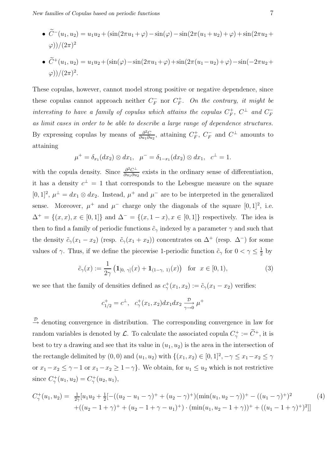- $\tilde{C}^{-}(u_1, u_2) = u_1u_2 + (\sin(2\pi u_1 + \varphi) \sin(\varphi) \sin(2\pi (u_1 + u_2) + \varphi) + \sin(2\pi u_2 + \varphi))$  $\varphi$ ))/ $(2\pi)^2$
- $\widetilde{C}^+(u_1, u_2) = u_1u_2 + (\sin(\varphi) \sin(2\pi u_1 + \varphi) + \sin(2\pi (u_1 u_2) + \varphi) \sin(-2\pi u_2 + \varphi)$  $(\varphi)/(2\pi)^2$ .

These copulas, however, cannot model strong positive or negative dependence, since these copulas cannot approach neither  $C_F^ \overline{F}$  nor  $C_F^+$  $F^+$ . On the contrary, it might be interesting to have a family of copulas which attains the copulas  $C_F^+$  $^+_F$ ,  $C^{\perp}$  and  $C_F^-$ F as limit cases in order to be able to describe a large range of dependence structures. By expressing copulas by means of  $\frac{\partial^2 C}{\partial u \cdot \partial v}$  $\frac{\partial^2 C}{\partial u_1 \partial u_2}$ , attaining  $C_F^+$  $E_F^+, C_F^ \overline{F}$  and  $C^{\perp}$  amounts to attaining

$$
\mu^+ = \delta_{x_1}(dx_2) \otimes dx_1, \quad \mu^- = \delta_{1-x_1}(dx_2) \otimes dx_1, \quad c^{\perp} = 1.
$$

with the copula density. Since  $\frac{\partial^2 C^{\perp}}{\partial u \cdot \partial u}$  $\frac{\partial^2 C^{\perp}}{\partial u_1 \partial u_2}$  exists in the ordinary sense of differentiation, it has a density  $c^{\perp} = 1$  that corresponds to the Lebesgue measure on the square [0, 1]<sup>2</sup>,  $\mu^{\perp} = dx_1 \otimes dx_2$ . Instead,  $\mu^+$  and  $\mu^-$  are to be interpreted in the generalized sense. Moreover,  $\mu^+$  and  $\mu^-$  charge only the diagonals of the square [0, 1]<sup>2</sup>, i.e.  $\Delta$ <sup>+</sup> = {(x, x), x ∈ [0, 1]} and  $\Delta$ <sup>-</sup> = {(x, 1 − x), x ∈ [0, 1]} respectively. The idea is then to find a family of periodic functions  $\tilde{c}_{\gamma}$  indexed by a parameter  $\gamma$  and such that the density  $\tilde{c}_{\gamma}(x_1 - x_2)$  (resp.  $\tilde{c}_{\gamma}(x_1 + x_2)$ ) concentrates on  $\Delta^+$  (resp.  $\Delta^-$ ) for some values of  $\gamma$ . Thus, if we define the piecewise 1-periodic function  $\tilde{c}_{\gamma}$  for  $0 < \gamma \leq \frac{1}{2}$  $rac{1}{2}$  by

$$
\tilde{c}_{\gamma}(x) := \frac{1}{2\gamma} \left( \mathbf{1}_{[0, \gamma]}(x) + \mathbf{1}_{(1-\gamma, 1)}(x) \right) \text{ for } x \in [0, 1), \tag{3}
$$

we see that the family of densities defined as  $c^+_{\gamma}(x_1, x_2) := \tilde{c}_{\gamma}(x_1 - x_2)$  verifies:

$$
c_{1/2}^+ = c^{\perp}, c_{\gamma}^+(x_1, x_2) dx_1 dx_2 \xrightarrow[\gamma \to 0]{} \mu^+
$$

 $\stackrel{\mathcal{D}}{\rightarrow}$  denoting convergence in distribution. The corresponding convergence in law for random variables is denoted by  $\mathcal{L}$ . To calculate the associated copula  $C^+_\gamma := \tilde{C}^+$ , it is best to try a drawing and see that its value in  $(u_1, u_2)$  is the area in the intersection of the rectangle delimited by  $(0,0)$  and  $(u_1, u_2)$  with  $\{(x_1, x_2) \in [0,1]^2, -\gamma \leq x_1 - x_2 \leq \gamma\}$ or  $x_1 - x_2 \leq \gamma - 1$  or  $x_1 - x_2 \geq 1 - \gamma$ . We obtain, for  $u_1 \leq u_2$  which is not restrictive since  $C^+_{\gamma}(u_1, u_2) = C^+_{\gamma}(u_2, u_1)$ ,

$$
C_{\gamma}^{+}(u_{1}, u_{2}) = \frac{1}{2\gamma} [u_{1}u_{2} + \frac{1}{2} [-(u_{2} - u_{1} - \gamma)^{+} + (u_{2} - \gamma)^{+}) (\min(u_{1}, u_{2} - \gamma))^{+} - ((u_{1} - \gamma)^{+})^{2} + ((u_{2} - 1 + \gamma)^{+} + (u_{2} - 1 + \gamma - u_{1})^{+}) \cdot (\min(u_{1}, u_{2} - 1 + \gamma))^{+} + ((u_{1} - 1 + \gamma)^{+})^{2}]] \tag{4}
$$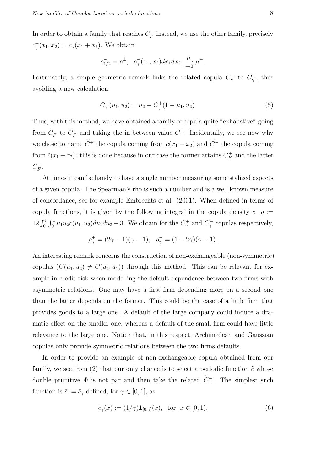In order to obtain a family that reaches  $C_F^ \overline{F}$  instead, we use the other family, precisely  $c_{\gamma}^-(x_1, x_2) = \tilde{c}_{\gamma}(x_1 + x_2)$ . We obtain

$$
c_{1/2}^- = c^{\perp}, c_{\gamma}^-(x_1, x_2) dx_1 dx_2 \xrightarrow[\gamma \to 0]{} \mu^-.
$$

Fortunately, a simple geometric remark links the related copula  $C_{\gamma}^-$  to  $C_{\gamma}^+$ , thus avoiding a new calculation:

$$
C_{\gamma}^{-}(u_1, u_2) = u_2 - C_{\gamma}^{+}(1 - u_1, u_2)
$$
\n
$$
(5)
$$

Thus, with this method, we have obtained a family of copula quite "exhaustive" going from  $C_F^ \frac{r}{F}$  to  $C_F^+$  $\mathcal{F}_F^+$  and taking the in-between value  $C^{\perp}$ . Incidentally, we see now why we chose to name  $\widetilde{C}^+$  the copula coming from  $\widetilde{c}(x_1 - x_2)$  and  $\widetilde{C}^-$  the copula coming from  $\tilde{c}(x_1 + x_2)$ : this is done because in our case the former attains  $C_F^+$  $F$ <sup>+</sup> and the latter  $C_F^ \frac{1}{F}$ .

At times it can be handy to have a single number measuring some stylized aspects of a given copula. The Spearman's rho is such a number and is a well known measure of concordance, see for example Embrechts et al. (2001). When defined in terms of copula functions, it is given by the following integral in the copula density  $c: \rho :=$  $12 \int_0^1 \int_0^1 u_1 u_2 c(u_1, u_2) du_1 du_2 - 3$ . We obtain for the  $C_\gamma^+$  and  $C_\gamma^-$  copulas respectively,

$$
\rho_{\gamma}^{+} = (2\gamma - 1)(\gamma - 1), \ \ \rho_{\gamma}^{-} = (1 - 2\gamma)(\gamma - 1).
$$

An interesting remark concerns the construction of non-exchangeable (non-symmetric) copulas  $(C(u_1, u_2) \neq C(u_2, u_1))$  through this method. This can be relevant for example in credit risk when modelling the default dependence between two firms with asymmetric relations. One may have a first firm depending more on a second one than the latter depends on the former. This could be the case of a little firm that provides goods to a large one. A default of the large company could induce a dramatic effect on the smaller one, whereas a default of the small firm could have little relevance to the large one. Notice that, in this respect, Archimedean and Gaussian copulas only provide symmetric relations between the two firms defaults.

In order to provide an example of non-exchangeable copula obtained from our family, we see from (2) that our only chance is to select a periodic function  $\tilde{c}$  whose double primitive  $\Phi$  is not par and then take the related  $\widetilde{C}^+$ . The simplest such function is  $\tilde{c} := \bar{c}_{\gamma}$  defined, for  $\gamma \in [0, 1]$ , as

$$
\bar{c}_{\gamma}(x) := (1/\gamma) \mathbf{1}_{[0,\gamma]}(x), \text{ for } x \in [0,1). \tag{6}
$$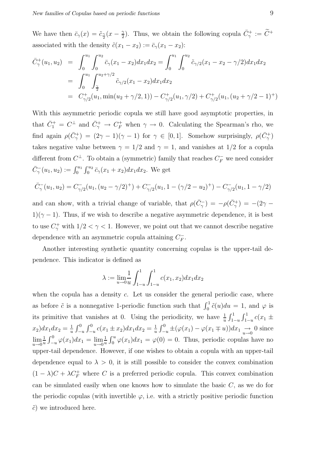We have then  $\bar{c}_{\gamma}(x) = \tilde{c}_{\frac{\gamma}{2}}(x - \frac{\gamma}{2})$  $\tilde{C}_2^+$ ). Thus, we obtain the following copula  $\bar{C}_\gamma^+ := \tilde{C}^+$ associated with the density  $\tilde{c}(x_1 - x_2) := \bar{c}_\gamma(x_1 - x_2)$ :

$$
\begin{split}\n\bar{C}_{\gamma}^{+}(u_{1}, u_{2}) &= \int_{0}^{u_{1}} \int_{0}^{u_{2}} \bar{c}_{\gamma}(x_{1} - x_{2}) dx_{1} dx_{2} = \int_{0}^{u_{1}} \int_{0}^{u_{2}} \tilde{c}_{\gamma/2}(x_{1} - x_{2} - \gamma/2) dx_{1} dx_{2} \\
&= \int_{0}^{u_{1}} \int_{\frac{\gamma}{2}}^{u_{2} + \gamma/2} \tilde{c}_{\gamma/2}(x_{1} - x_{2}) dx_{1} dx_{2} \\
&= C_{\gamma/2}^{+}(u_{1}, \min(u_{2} + \gamma/2, 1)) - C_{\gamma/2}^{+}(u_{1}, \gamma/2) + C_{\gamma/2}^{+}(u_{1}, (u_{2} + \gamma/2 - 1)^{+})\n\end{split}
$$

With this asymmetric periodic copula we still have good asymptotic properties, in that  $\bar{C}_1^+ = C^{\perp}$  and  $\bar{C}_{\gamma}^+ \to C_F^+$  when  $\gamma \to 0$ . Calculating the Spearman's rho, we find again  $\rho(\bar{C}_{\gamma}^+) = (2\gamma - 1)(\gamma - 1)$  for  $\gamma \in [0, 1]$ . Somehow surprisingly,  $\rho(\bar{C}_{\gamma}^+)$ takes negative value between  $\gamma = 1/2$  and  $\gamma = 1$ , and vanishes at 1/2 for a copula different from  $C^{\perp}$ . To obtain a (symmetric) family that reaches  $C_F^-$  we need consider  $\bar{C}_{\gamma}^{-}(u_1, u_2) := \int_0^{u_1} \int_0^{u_2} \bar{c}_{\gamma}(x_1 + x_2) dx_1 dx_2$ . We get

$$
\bar{C}_{\gamma}^{-}(u_1, u_2) = C_{\gamma/2}^{-}(u_1, (u_2 - \gamma/2)^{+}) + C_{\gamma/2}^{-}(u_1, 1 - (\gamma/2 - u_2)^{+}) - C_{\gamma/2}^{-}(u_1, 1 - \gamma/2)
$$

and can show, with a trivial change of variable, that  $\rho(\bar{C}_{\gamma}^-) = -\rho(\bar{C}_{\gamma}^+) = -(2\gamma 1)(\gamma - 1)$ . Thus, if we wish to describe a negative asymmetric dependence, it is best to use  $C_{\gamma}^{+}$  with  $1/2 < \gamma < 1$ . However, we point out that we cannot describe negative dependence with an asymmetric copula attaining  $C_F^+$  $_{F}^{-}.$ 

Another interesting synthetic quantity concerning copulas is the upper-tail dependence. This indicator is defined as

$$
\lambda := \lim_{u \to 0} \frac{1}{u} \int_{1-u}^{1} \int_{1-u}^{1} c(x_1, x_2) dx_1 dx_2
$$

when the copula has a density  $c$ . Let us consider the general periodic case, where as before  $\tilde{c}$  is a nonnegative 1-periodic function such that  $\int_0^1 \tilde{c}(u)du = 1$ , and  $\varphi$  is its primitive that vanishes at 0. Using the periodicity, we have  $\frac{1}{u}$  $\frac{1}{u} \int_{1-u}^{1} \int_{1-u}^{1} c(x_1 +$  $(x_2)dx_1dx_2=\frac{1}{u}$  $\frac{1}{u} \int_{-u}^{0} \int_{-u}^{0} c(x_1 \pm x_2) dx_1 dx_2 = \frac{1}{u}$  $\frac{1}{u} \int_{-u}^{0} \pm (\varphi(x_1) - \varphi(x_1 \mp u)) dx_1 \underset{u \to 0}{\to} 0$  since  $\lim_{u\to 0} \frac{1}{u}$  $\frac{1}{u} \int_{-u}^{0} \varphi(x_1) dx_1 = \lim_{u \to 0} \frac{1}{u}$  $\frac{1}{u}\int_0^u \varphi(x_1)dx_1 = \varphi(0) = 0$ . Thus, periodic copulas have no upper-tail dependence. However, if one wishes to obtain a copula with an upper-tail dependence equal to  $\lambda > 0$ , it is still possible to consider the convex combination  $(1 - \lambda)C + \lambda C_F^+$  where C is a preferred periodic copula. This convex combination can be simulated easily when one knows how to simulate the basic  $C$ , as we do for the periodic copulas (with invertible  $\varphi$ , i.e. with a strictly positive periodic function  $\tilde{c}$ ) we introduced here.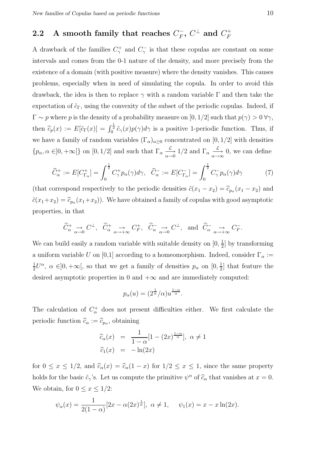### 2.2 A smooth family that reaches  $C_F^+, \, C^\perp$  and  $C_F^+$

A drawback of the families  $C_{\gamma}^{+}$  and  $C_{\gamma}^{-}$  is that these copulas are constant on some intervals and comes from the 0-1 nature of the density, and more precisely from the existence of a domain (with positive measure) where the density vanishes. This causes problems, especially when in need of simulating the copula. In order to avoid this drawback, the idea is then to replace  $\gamma$  with a random variable  $\Gamma$  and then take the expectation of  $\tilde{c}_{\Gamma}$ , using the convexity of the subset of the periodic copulas. Indeed, if  $\Gamma \sim p$  where p is the density of a probability measure on [0, 1/2] such that  $p(\gamma) > 0 \,\forall \gamma$ , then  $\hat{c}_p(x) := E[\tilde{c}_\Gamma(x)] = \int_0^{\frac{1}{2}} \tilde{c}_\gamma(x) p(\gamma) d\gamma$  is a positive 1-periodic function. Thus, if we have a family of random variables  $(\Gamma_{\alpha})_{\alpha \geq 0}$  concentrated on  $[0, 1/2]$  with densities  $\{p_{\alpha}, \alpha \in]0, +\infty[\}$  on  $[0, 1/2]$  and such that  $\Gamma_{\alpha} \xrightarrow[\alpha \to 0]{} 1/2$  and  $\Gamma_{\alpha} \xrightarrow[\alpha \to \infty]{} 0$ , we can define

$$
\widehat{C}_{\alpha}^{+} := E[C_{\Gamma_{\alpha}}^{+}] = \int_{0}^{\frac{1}{2}} C_{\gamma}^{+} p_{\alpha}(\gamma) d\gamma, \quad \widehat{C}_{\alpha}^{-} := E[C_{\Gamma_{\alpha}}^{-}] = \int_{0}^{\frac{1}{2}} C_{\gamma}^{-} p_{\alpha}(\gamma) d\gamma \tag{7}
$$

(that correspond respectively to the periodic densities  $\tilde{c}(x_1 - x_2) = \hat{c}_{p_\alpha}(x_1 - x_2)$  and  $\tilde{c}(x_1+x_2)=\widehat{c}_{p_\alpha}(x_1+x_2)$ ). We have obtained a family of copulas with good asymptotic properties, in that

$$
\widehat{C}_{\alpha}^+ \underset{\alpha \to 0}{\to} C^{\perp}, \quad \widehat{C}_{\alpha}^+ \underset{\alpha \to +\infty}{\to} C_F^+, \quad \widehat{C}_{\alpha}^- \underset{\alpha \to 0}{\to} C^{\perp}, \quad \text{and} \quad \widehat{C}_{\alpha}^- \underset{\alpha \to +\infty}{\to} C_F^-.
$$

We can build easily a random variable with suitable density on  $[0, \frac{1}{2}]$  $\frac{1}{2}$  by transforming a uniform variable U on [0,1] according to a homeomorphism. Indeed, consider  $\Gamma_{\alpha}$  := 1  $\frac{1}{2}U^{\alpha}$ ,  $\alpha \in ]0, +\infty[$ , so that we get a family of densities  $p_{\alpha}$  on  $[0, \frac{1}{2}]$  $\frac{1}{2}$  that feature the desired asymptotic properties in 0 and  $+\infty$  and are immediately computed:

$$
p_{\alpha}(u) = (2^{\frac{1}{\alpha}}/\alpha)u^{\frac{1-\alpha}{\alpha}}.
$$

The calculation of  $C_{\alpha}^{+}$  does not present difficulties either. We first calculate the periodic function  $\widehat{c}_{\alpha} := \widehat{c}_{p_{\alpha}}$ , obtaining

$$
\begin{array}{rcl}\n\widehat{c}_{\alpha}(x) & = & \frac{1}{1-\alpha} [1 - (2x)^{\frac{1-\alpha}{\alpha}}], \ \alpha \neq 1 \\
\widehat{c}_1(x) & = & -\ln(2x)\n\end{array}
$$

for  $0 \le x \le 1/2$ , and  $\hat{c}_{\alpha}(x) = \hat{c}_{\alpha}(1-x)$  for  $1/2 \le x \le 1$ , since the same property holds for the basic  $\tilde{c}_{\gamma}$ 's. Let us compute the primitive  $\psi^{\alpha}$  of  $\widehat{c}_{\alpha}$  that vanishes at  $x = 0$ . We obtain, for  $0 \leq x \leq 1/2$ :

$$
\psi_{\alpha}(x) = \frac{1}{2(1-\alpha)} [2x - \alpha(2x)^{\frac{1}{\alpha}}], \ \alpha \neq 1, \quad \psi_1(x) = x - x \ln(2x).
$$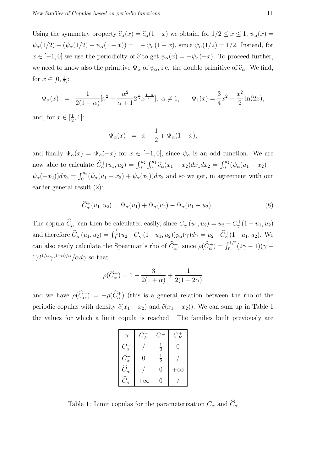Using the symmetry property  $\widehat{c}_{\alpha}(x) = \widehat{c}_{\alpha}(1-x)$  we obtain, for  $1/2 \leq x \leq 1$ ,  $\psi_{\alpha}(x) =$  $\psi_{\alpha}(1/2) + (\psi_{\alpha}(1/2) - \psi_{\alpha}(1-x)) = 1 - \psi_{\alpha}(1-x)$ , since  $\psi_{\alpha}(1/2) = 1/2$ . Instead, for  $x \in [-1, 0]$  we use the periodicity of  $\hat{c}$  to get  $\psi_{\alpha}(x) = -\psi_{\alpha}(-x)$ . To proceed further, we need to know also the primitive  $\Psi_{\alpha}$  of  $\psi_{\alpha}$ , i.e. the double primitive of  $\widehat{c}_{\alpha}$ . We find, for  $x \in [0, \frac{1}{2}]$  $\frac{1}{2}$ :

$$
\Psi_{\alpha}(x) = \frac{1}{2(1-\alpha)} [x^2 - \frac{\alpha^2}{\alpha+1} 2^{\frac{1}{\alpha}} x^{\frac{1+\alpha}{\alpha}}], \ \alpha \neq 1, \qquad \Psi_1(x) = \frac{3}{4} x^2 - \frac{x^2}{2} \ln(2x),
$$

and, for  $x \in \left[\frac{1}{2}\right]$  $\frac{1}{2}$ , 1]:

$$
\Psi_{\alpha}(x) = x - \frac{1}{2} + \Psi_{\alpha}(1 - x),
$$

and finally  $\Psi_{\alpha}(x) = \Psi_{\alpha}(-x)$  for  $x \in [-1,0]$ , since  $\psi_{\alpha}$  is an odd function. We are now able to calculate  $\hat{C}_{\alpha}^+(u_1, u_2) = \int_0^{u_2} \int_0^{u_1} \hat{c}_{\alpha}(x_1 - x_2) dx_1 dx_2 = \int_0^{u_2} (\psi_{\alpha}(u_1 - x_2) \psi_{\alpha}(-x_2))dx_2 = \int_0^{u_2} (\psi_{\alpha}(u_1 - x_2) + \psi_{\alpha}(x_2))dx_2$  and so we get, in agreement with our earlier general result (2):

$$
\widehat{C}_{\alpha}^{+}(u_1, u_2) = \Psi_{\alpha}(u_1) + \Psi_{\alpha}(u_2) - \Psi_{\alpha}(u_1 - u_2). \tag{8}
$$

The copula  $\hat{C}_{\alpha}^-$  can then be calculated easily, since  $C_{\gamma}^-(u_1, u_2) = u_2 - C_{\gamma}^+(1 - u_1, u_2)$ and therefore  $\hat{C}_{\alpha}^{-}(u_1, u_2) = \int_0^{\frac{1}{2}} (u_2 - C_{\gamma}^{-}(1 - u_1, u_2)) p_{\alpha}(\gamma) d\gamma = u_2 - \hat{C}_{\alpha}^{+}(1 - u_1, u_2)$ . We can also easily calculate the Spearman's rho of  $\widehat{C}_{\alpha}^+$ , since  $\rho(\widehat{C}_{\alpha}^+) = \int_0^{1/2} (2\gamma - 1)(\gamma 1)2^{1/\alpha}\gamma^{(1-\alpha)/\alpha}/\alpha d\gamma$  so that

$$
\rho(\widehat{C}_{\alpha}^{+}) = 1 - \frac{3}{2(1+\alpha)} + \frac{1}{2(1+2\alpha)}
$$

and we have  $\rho(\overline{C_{\alpha}}) = -\rho(\overline{C_{\alpha}})$  (this is a general relation between the rho of the periodic copulas with density  $\tilde{c}(x_1 + x_2)$  and  $\tilde{c}(x_1 - x_2)$ ). We can sum up in Table 1 the values for which a limit copula is reached. The families built previously are

| $\alpha$                                       | $C_F^-$ | $C^\perp$     | $C_F^+$  |
|------------------------------------------------|---------|---------------|----------|
| $C^+_\alpha$                                   |         | $\frac{1}{2}$ | 0        |
|                                                | 0       | $\frac{1}{2}$ |          |
| $C_{\alpha}^{-}$<br>$\widehat{C}_{\alpha}^{+}$ |         | 0             | $\infty$ |
| $\widehat{C}_\alpha^-$                         |         | 0             |          |

Table 1: Limit copulas for the parameterization  $C_{\alpha}$  and  $\widehat{C}_{\alpha}$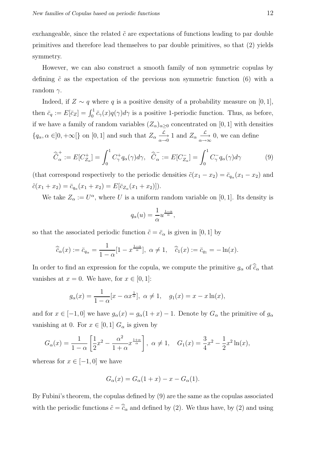exchangeable, since the related  $\tilde{c}$  are expectations of functions leading to par double primitives and therefore lead themselves to par double primitives, so that (2) yields symmetry.

However, we can also construct a smooth family of non symmetric copulas by defining  $\tilde{c}$  as the expectation of the previous non symmetric function (6) with a random  $\gamma$ .

Indeed, if  $Z \sim q$  where q is a positive density of a probability measure on [0, 1], then  $\bar{c}_q := E[\bar{c}_Z] = \int_0^1 \bar{c}_\gamma(x) q(\gamma) d\gamma$  is a positive 1-periodic function. Thus, as before, if we have a family of random variables  $(Z_{\alpha})_{\alpha \geq 0}$  concentrated on [0, 1] with densities  $\{q_\alpha, \alpha \in ]0, +\infty[\}$  on  $[0, 1]$  and such that  $Z_\alpha \xrightarrow[\alpha \to 0]{\mathcal{L}} 1$  and  $Z_\alpha \xrightarrow[\alpha \to \infty]{\mathcal{L}} 0$ , we can define

$$
\widehat{\overline{C}}_{\alpha}^{+} := E[C_{Z_{\alpha}}^{+}] = \int_{0}^{1} C_{\gamma}^{+} q_{\alpha}(\gamma) d\gamma, \quad \widehat{\overline{C}}_{\alpha}^{-} := E[C_{Z_{\alpha}}^{-}] = \int_{0}^{1} C_{\gamma}^{-} q_{\alpha}(\gamma) d\gamma
$$
 (9)

(that correspond respectively to the periodic densities  $\tilde{c}(x_1 - x_2) = \bar{c}_{q_\alpha}(x_1 - x_2)$  and  $\tilde{c}(x_1+x_2)=\bar{c}_{q_\alpha}(x_1+x_2)=E[\bar{c}_{Z_\alpha}(x_1+x_2)]).$ 

We take  $Z_{\alpha} := U^{\alpha}$ , where U is a uniform random variable on [0, 1]. Its density is

$$
q_{\alpha}(u) = \frac{1}{\alpha} u^{\frac{1-\alpha}{\alpha}},
$$

so that the associated periodic function  $\tilde{c} = \bar{c}_{\alpha}$  is given in [0, 1] by

$$
\widehat{\overline{c}}_{\alpha}(x) := \overline{c}_{q_{\alpha}} = \frac{1}{1-\alpha} [1-x^{\frac{1-\alpha}{\alpha}}], \ \alpha \neq 1, \quad \widehat{\overline{c}}_{1}(x) := \overline{c}_{q_{1}} = -\ln(x).
$$

In order to find an expression for the copula, we compute the primitive  $g_{\alpha}$  of  $\hat{\bar{c}}_{\alpha}$  that vanishes at  $x = 0$ . We have, for  $x \in [0, 1]$ :

$$
g_{\alpha}(x) = \frac{1}{1 - \alpha} [x - \alpha x^{\frac{1}{\alpha}}], \ \alpha \neq 1, \quad g_1(x) = x - x \ln(x),
$$

and for  $x \in [-1,0]$  we have  $g_{\alpha}(x) = g_{\alpha}(1+x) - 1$ . Denote by  $G_{\alpha}$  the primitive of  $g_{\alpha}$ vanishing at 0. For  $x \in [0,1]$   $G_{\alpha}$  is given by

$$
G_{\alpha}(x) = \frac{1}{1-\alpha} \left[ \frac{1}{2} x^2 - \frac{\alpha^2}{1+\alpha} x^{\frac{1+\alpha}{\alpha}} \right], \ \alpha \neq 1, \quad G_1(x) = \frac{3}{4} x^2 - \frac{1}{2} x^2 \ln(x),
$$

whereas for  $x \in [-1, 0]$  we have

$$
G_{\alpha}(x) = G_{\alpha}(1+x) - x - G_{\alpha}(1).
$$

By Fubini's theorem, the copulas defined by (9) are the same as the copulas associated with the periodic functions  $\tilde{c} = \hat{\tilde{c}}_{\alpha}$  and defined by (2). We thus have, by (2) and using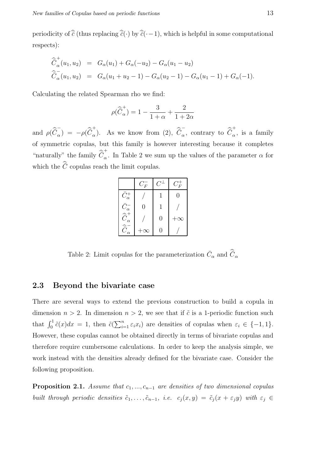periodicity of  $\widehat{\bar{c}}$  (thus replacing  $\widehat{\bar{c}}(\cdot)$  by  $\widehat{\bar{c}}(\cdot-1)$ , which is helpful in some computational respects):

$$
\begin{aligned}\n\widehat{\bar{C}}_{\alpha}^{+}(u_1, u_2) &= G_{\alpha}(u_1) + G_{\alpha}(-u_2) - G_{\alpha}(u_1 - u_2) \\
\widehat{\bar{C}}_{\alpha}^{-}(u_1, u_2) &= G_{\alpha}(u_1 + u_2 - 1) - G_{\alpha}(u_2 - 1) - G_{\alpha}(u_1 - 1) + G_{\alpha}(-1).\n\end{aligned}
$$

Calculating the related Spearman rho we find:

$$
\rho(\widehat{\bar{C}}^{+}_{\alpha})=1-\frac{3}{1+\alpha}+\frac{2}{1+2\alpha}
$$

and  $\rho(\hat{\vec{C}}_{\alpha}^{-})$  $\bar{C}_{\alpha}$ ) =  $-\rho(\hat{\bar{C}}_{\alpha}^+)$ <sup>+</sup><sub>α</sub>). As we know from (2),  $\hat{\bar{C}}_{\alpha}^{-}$  $\bar{c}_{\alpha}$ , contrary to  $\widehat{\bar{C}}_{\alpha}^{+}$  $_{\alpha}$ , is a family of symmetric copulas, but this family is however interesting because it completes "naturally" the family  $\widehat{\bar{C}}^{+}_{\alpha}$  $\alpha$ . In Table 2 we sum up the values of the parameter  $\alpha$  for which the  $\hat{C}$  copulas reach the limit copulas.

|                                  | $C_F^-$  | $C^\perp$ | $C_F^\top$ |
|----------------------------------|----------|-----------|------------|
| $\bar{C}^+_\alpha$               |          |           |            |
| $\bar{C}_\alpha^-$               | $\Omega$ |           |            |
| $\widehat{\bar{C}}^+_{\alpha}$   |          | 0         | $\infty$   |
| $\widehat{\bar{C}}_{\alpha}^{-}$ | $\infty$ |           |            |

Table 2: Limit copulas for the parameterization  $\bar{C}_{\alpha}$  and  $\hat{\bar{C}}_{\alpha}$ 

#### 2.3 Beyond the bivariate case

There are several ways to extend the previous construction to build a copula in dimension  $n > 2$ . In dimension  $n > 2$ , we see that if  $\tilde{c}$  is a 1-periodic function such that  $\int_0^1 \tilde{c}(x)dx = 1$ , then  $\tilde{c}(\sum_{i=1}^n \varepsilon_i x_i)$  are densities of copulas when  $\varepsilon_i \in \{-1, 1\}$ . However, these copulas cannot be obtained directly in terms of bivariate copulas and therefore require cumbersome calculations. In order to keep the analysis simple, we work instead with the densities already defined for the bivariate case. Consider the following proposition.

**Proposition 2.1.** Assume that  $c_1, ..., c_{n-1}$  are densities of two dimensional copulas built through periodic densities  $\tilde{c}_1, \ldots, \tilde{c}_{n-1}$ , i.e.  $c_j(x, y) = \tilde{c}_j(x + \varepsilon_j y)$  with  $\varepsilon_j \in$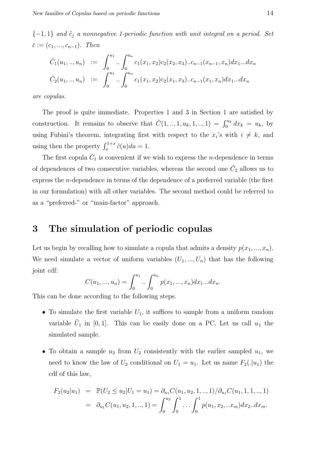${-1, 1}$  and  $\tilde{c}_j$  a nonnegative 1-periodic function with unit integral on a period. Set  $\check{c} := (c_1, ..., c_{n-1}).$  Then

$$
\tilde{C}_1(u_1,..,u_n) := \int_0^{u_1} .. \int_0^{u_n} c_1(x_1,x_2)c_2(x_2,x_3)...c_{n-1}(x_{n-1},x_n)dx_1...dx_n
$$
  

$$
\tilde{C}_2(u_1,..,u_n) := \int_0^{u_1} .. \int_0^{u_n} c_1(x_1,x_2)c_2(x_1,x_3)...c_{n-1}(x_1,x_n)dx_1...dx_n
$$

are copulas.

The proof is quite immediate. Properties 1 and 3 in Section 1 are satisfied by construction. It remains to observe that  $\check{C}(1,..,1,u_k,1,..,1) = \int_0^{u_k} dx_k = u_k$ , by using Fubini's theorem, integrating first with respect to the  $x_i$ 's with  $i \neq k$ , and using then the property  $\int_x^{1+x} \tilde{c}(u) du = 1$ .

The first copula  $\check{C}_1$  is convenient if we wish to express the *n*-dependence in terms of dependences of two consecutive variables, whereas the second one  $\check{C}_2$  allows us to express the n-dependence in terms of the dependence of a preferred variable (the first in our formulation) with all other variables. The second method could be referred to as a "preferred-" or "main-factor" approach.

#### 3 The simulation of periodic copulas

Let us begin by recalling how to simulate a copula that admits a density  $p(x_1, ..., x_n)$ . We need simulate a vector of uniform variables  $(U_1, ..., U_n)$  that has the following joint cdf:

$$
C(u_1, ..., u_n) = \int_0^{u_1} ... \int_0^{u_n} p(x_1, ..., x_n) dx_1 ... dx_n.
$$

This can be done according to the following steps.

- To simulate the first variable  $U_1$ , it suffices to sample from a uniform random variable  $\tilde{U}_1$  in [0, 1]. This can be easily done on a PC. Let us call  $u_1$  the simulated sample.
- To obtain a sample  $u_2$  from  $U_2$  consistently with the earlier sampled  $u_1$ , we need to know the law of  $U_2$  conditional on  $U_1 = u_1$ . Let us name  $F_2(.\vert u_1)$  the cdf of this law,

$$
F_2(u_2|u_1) = \mathbb{P}(U_2 \le u_2|U_1 = u_1) = \partial_{u_1}C(u_1, u_2, 1, \dots, 1)/\partial_{u_1}C(u_1, 1, 1, \dots, 1)
$$
  
=  $\partial_{u_1}C(u_1, u_2, 1, \dots, 1) = \int_0^{u_2} \int_0^1 \dots \int_0^1 p(u_1, x_2, \dots, x_m) dx_2 \dots dx_m$ .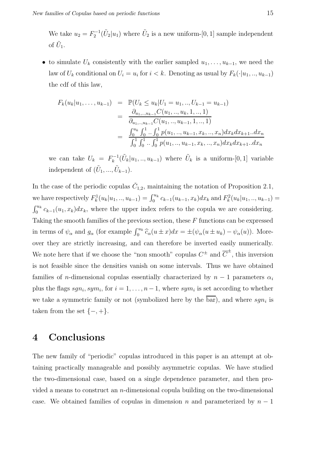We take  $u_2 = F_2^{-1}(\tilde{U}_2|u_1)$  where  $\tilde{U}_2$  is a new uniform-[0, 1] sample independent of  $\tilde{U}_1$ .

• to simulate  $U_k$  consistently with the earlier sampled  $u_1, \ldots, u_{k-1}$ , we need the law of  $U_k$  conditional on  $U_i = u_i$  for  $i < k$ . Denoting as usual by  $F_k(\cdot|u_1, \ldots, u_{k-1})$ the cdf of this law,

$$
F_k(u_k|u_1,\ldots,u_{k-1}) = \mathbb{P}(U_k \le u_k|U_1 = u_1,\ldots,U_{k-1} = u_{k-1})
$$
  
\n
$$
= \frac{\partial_{u_1,\ldots,u_{k-1}}C(u_1,\ldots,u_k,1,\ldots,1)}{\partial_{u_1,\ldots,u_{k-1}}C(u_1,\ldots,u_{k-1},1,\ldots,1)}
$$
  
\n
$$
= \frac{\int_0^{u_k}\int_0^1\ldots\int_0^1 p(u_1,\ldots,u_{k-1},x_k,\ldots,x_n)dx_kdx_{k+1}...dx_n}{\int_0^1\int_0^1\ldots\int_0^1 p(u_1,\ldots,u_{k-1},x_k,\ldots,x_n)dx_kdx_{k+1}...dx_n}
$$

we can take  $U_k = F_k^{-1}$  $\tilde{U}_k^{-1}(\tilde{U}_k|u_1, \ldots, u_{k-1})$  where  $\tilde{U}_k$  is a uniform-[0, 1] variable independent of  $(\tilde{U}_1, ..., \tilde{U}_{k-1}).$ 

In the case of the periodic copulas  $\check{C}_{1,2}$ , maintaining the notation of Proposition 2.1, we have respectively  $F_k^1(u_k|u_1, \ldots, u_{k-1}) = \int_0^{u_k} c_{k-1}(u_{k-1}, x_k) dx_k$  and  $F_k^2(u_k|u_1, \ldots, u_{k-1}) =$  $\int_0^{u_k} c_{k-1}(u_1, x_k) dx_k$ , where the upper index refers to the copula we are considering. Taking the smooth families of the previous section, these  $F$  functions can be expressed in terms of  $\psi_{\alpha}$  and  $g_{\alpha}$  (for example  $\int_0^{u_k} \hat{c}_{\alpha}(u \pm x) dx = \pm (\psi_{\alpha}(u \pm u_k) - \psi_{\alpha}(u))$ . Moreover they are strictly increasing, and can therefore be inverted easily numerically. We note here that if we choose the "non smooth" copulas  $C^{\pm}$  and  $\overline{C}^{\pm}$ , this inversion is not feasible since the densities vanish on some intervals. Thus we have obtained families of *n*-dimensional copulas essentially characterized by  $n - 1$  parameters  $\alpha_i$ plus the flags  $sgn_i, sym_i$ , for  $i = 1, ..., n - 1$ , where  $sym_i$  is set according to whether we take a symmetric family or not (symbolized here by the bar), and where  $sgn_i$  is taken from the set  $\{-, +\}.$ 

#### 4 Conclusions

The new family of "periodic" copulas introduced in this paper is an attempt at obtaining practically manageable and possibly asymmetric copulas. We have studied the two-dimensional case, based on a single dependence parameter, and then provided a means to construct an *n*-dimensional copula building on the two-dimensional case. We obtained families of copulas in dimension n and parameterized by  $n-1$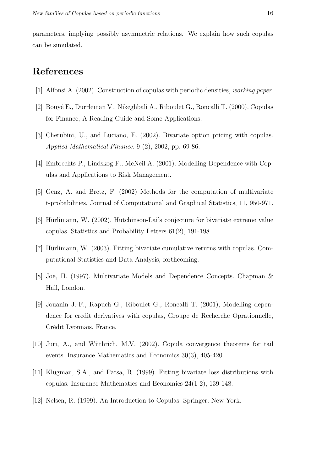parameters, implying possibly asymmetric relations. We explain how such copulas can be simulated.

### References

- [1] Alfonsi A. (2002). Construction of copulas with periodic densities, working paper.
- [2] Bouy´e E., Durrleman V., Nikeghbali A., Riboulet G., Roncalli T. (2000). Copulas for Finance, A Reading Guide and Some Applications.
- [3] Cherubini, U., and Luciano, E. (2002). Bivariate option pricing with copulas. Applied Mathematical Finance. 9 (2), 2002, pp. 69-86.
- [4] Embrechts P., Lindskog F., McNeil A. (2001). Modelling Dependence with Copulas and Applications to Risk Management.
- [5] Genz, A. and Bretz, F. (2002) Methods for the computation of multivariate t-probabilities. Journal of Computational and Graphical Statistics, 11, 950-971.
- $[6]$  Hürlimann, W. (2002). Hutchinson-Lai's conjecture for bivariate extreme value copulas. Statistics and Probability Letters 61(2), 191-198.
- [7] Hürlimann, W. (2003). Fitting bivariate cumulative returns with copulas. Computational Statistics and Data Analysis, forthcoming.
- [8] Joe, H. (1997). Multivariate Models and Dependence Concepts. Chapman & Hall, London.
- [9] Jouanin J.-F., Rapuch G., Riboulet G., Roncalli T. (2001), Modelling dependence for credit derivatives with copulas, Groupe de Recherche Oprationnelle, Crédit Lyonnais, France.
- [10] Juri, A., and Wüthrich, M.V. (2002). Copula convergence theorems for tail events. Insurance Mathematics and Economics 30(3), 405-420.
- [11] Klugman, S.A., and Parsa, R. (1999). Fitting bivariate loss distributions with copulas. Insurance Mathematics and Economics 24(1-2), 139-148.
- [12] Nelsen, R. (1999). An Introduction to Copulas. Springer, New York.